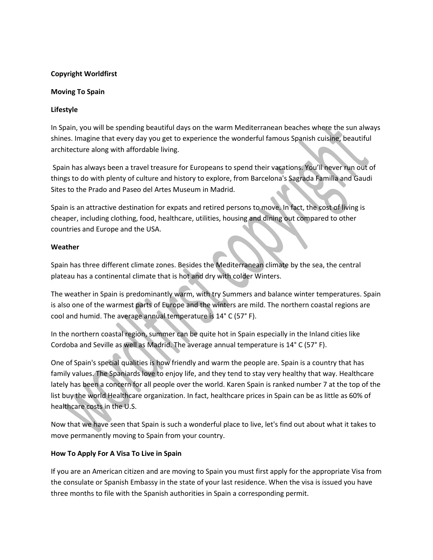# **Copyright Worldfirst**

#### **Moving To Spain**

#### **Lifestyle**

In Spain, you will be spending beautiful days on the warm Mediterranean beaches where the sun always shines. Imagine that every day you get to experience the wonderful famous Spanish cuisine, beautiful architecture along with affordable living.

Spain has always been a travel treasure for Europeans to spend their vacations. You'll never run out of things to do with plenty of culture and history to explore, from Barcelona's Sagrada Familia and Gaudi Sites to the Prado and Paseo del Artes Museum in Madrid.

Spain is an attractive destination for expats and retired persons to move. In fact, the cost of living is cheaper, including clothing, food, healthcare, utilities, housing and dining out compared to other countries and Europe and the USA.

#### **Weather**

Spain has three different climate zones. Besides the Mediterranean climate by the sea, the central plateau has a continental climate that is hot and dry with colder Winters.

The weather in Spain is predominantly warm, with try Summers and balance winter temperatures. Spain is also one of the warmest parts of Europe and the winters are mild. The northern coastal regions are cool and humid. The average annual temperature is 14° C (57° F).

In the northern coastal region, summer can be quite hot in Spain especially in the Inland cities like Cordoba and Seville as well as Madrid. The average annual temperature is 14° C (57° F).

One of Spain's special qualities is how friendly and warm the people are. Spain is a country that has family values. The Spaniards love to enjoy life, and they tend to stay very healthy that way. Healthcare lately has been a concern for all people over the world. Karen Spain is ranked number 7 at the top of the list buy the world Healthcare organization. In fact, healthcare prices in Spain can be as little as 60% of healthcare costs in the U.S.

Now that we have seen that Spain is such a wonderful place to live, let's find out about what it takes to move permanently moving to Spain from your country.

# **How To Apply For A Visa To Live in Spain**

If you are an American citizen and are moving to Spain you must first apply for the appropriate Visa from the consulate or Spanish Embassy in the state of your last residence. When the visa is issued you have three months to file with the Spanish authorities in Spain a corresponding permit.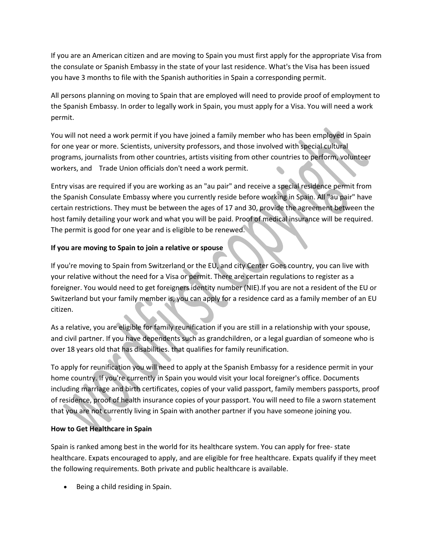If you are an American citizen and are moving to Spain you must first apply for the appropriate Visa from the consulate or Spanish Embassy in the state of your last residence. What's the Visa has been issued you have 3 months to file with the Spanish authorities in Spain a corresponding permit.

All persons planning on moving to Spain that are employed will need to provide proof of employment to the Spanish Embassy. In order to legally work in Spain, you must apply for a Visa. You will need a work permit.

You will not need a work permit if you have joined a family member who has been employed in Spain for one year or more. Scientists, university professors, and those involved with special cultural programs, journalists from other countries, artists visiting from other countries to perform, volunteer workers, and Trade Union officials don't need a work permit.

Entry visas are required if you are working as an "au pair" and receive a special residence permit from the Spanish Consulate Embassy where you currently reside before working in Spain. All "au pair" have certain restrictions. They must be between the ages of 17 and 30, provide the agreement between the host family detailing your work and what you will be paid. Proof of medical insurance will be required. The permit is good for one year and is eligible to be renewed.

# **If you are moving to Spain to join a relative or spouse**

If you're moving to Spain from Switzerland or the EU, and city Center Goes country, you can live with your relative without the need for a Visa or permit. There are certain regulations to register as a foreigner. You would need to get foreigners identity number (NIE).If you are not a resident of the EU or Switzerland but your family member is, you can apply for a residence card as a family member of an EU citizen.

As a relative, you are eligible for family reunification if you are still in a relationship with your spouse, and civil partner. If you have dependents such as grandchildren, or a legal guardian of someone who is over 18 years old that has disabilities. that qualifies for family reunification.

To apply for reunification you will need to apply at the Spanish Embassy for a residence permit in your home country. If you're currently in Spain you would visit your local foreigner's office. Documents including marriage and birth certificates, copies of your valid passport, family members passports, proof of residence, proof of health insurance copies of your passport. You will need to file a sworn statement that you are not currently living in Spain with another partner if you have someone joining you.

# **How to Get Healthcare in Spain**

Spain is ranked among best in the world for its healthcare system. You can apply for free- state healthcare. Expats encouraged to apply, and are eligible for free healthcare. Expats qualify if they meet the following requirements. Both private and public healthcare is available.

Being a child residing in Spain.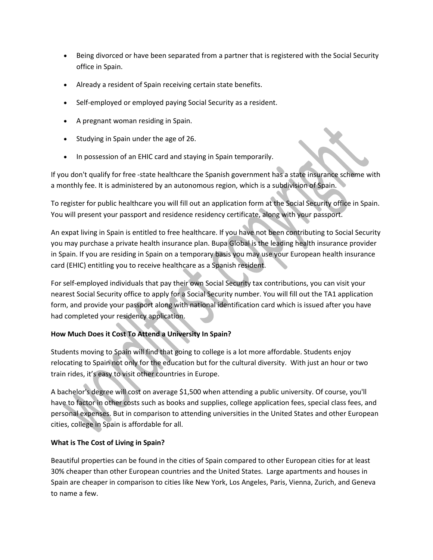- Being divorced or have been separated from a partner that is registered with the Social Security office in Spain.
- Already a resident of Spain receiving certain state benefits.
- Self-employed or employed paying Social Security as a resident.
- A pregnant woman residing in Spain.
- Studying in Spain under the age of 26.
- In possession of an EHIC card and staying in Spain temporarily.

If you don't qualify for free -state healthcare the Spanish government has a state insurance scheme with a monthly fee. It is administered by an autonomous region, which is a subdivision of Spain.

To register for public healthcare you will fill out an application form at the Social Security office in Spain. You will present your passport and residence residency certificate, along with your passport.

An expat living in Spain is entitled to free healthcare. If you have not been contributing to Social Security you may purchase a private health insurance plan. Bupa Global is the leading health insurance provider in Spain. If you are residing in Spain on a temporary basis you may use your European health insurance card (EHIC) entitling you to receive healthcare as a Spanish resident.

For self-employed individuals that pay their own Social Security tax contributions, you can visit your nearest Social Security office to apply for a Social Security number. You will fill out the TA1 application form, and provide your passport along with national identification card which is issued after you have had completed your residency application.

# **How Much Does it Cost To Attend a University In Spain?**

Students moving to Spain will find that going to college is a lot more affordable. Students enjoy relocating to Spain not only for the education but for the cultural diversity. With just an hour or two train rides, it's easy to visit other countries in Europe.

A bachelor's degree will cost on average \$1,500 when attending a public university. Of course, you'll have to factor in other costs such as books and supplies, college application fees, special class fees, and personal expenses. But in comparison to attending universities in the United States and other European cities, college in Spain is affordable for all.

# **What is The Cost of Living in Spain?**

Beautiful properties can be found in the cities of Spain compared to other European cities for at least 30% cheaper than other European countries and the United States. Large apartments and houses in Spain are cheaper in comparison to cities like New York, Los Angeles, Paris, Vienna, Zurich, and Geneva to name a few.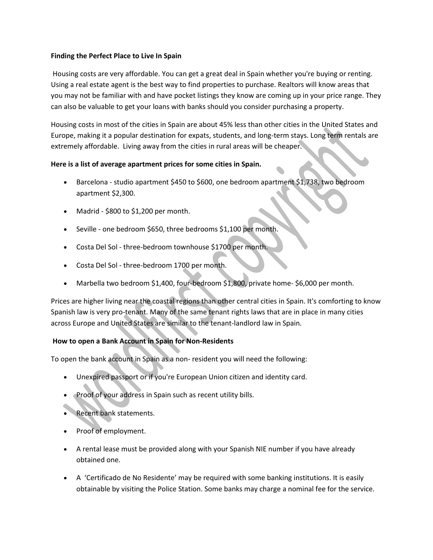#### **Finding the Perfect Place to Live In Spain**

Housing costs are very affordable. You can get a great deal in Spain whether you're buying or renting. Using a real estate agent is the best way to find properties to purchase. Realtors will know areas that you may not be familiar with and have pocket listings they know are coming up in your price range. They can also be valuable to get your loans with banks should you consider purchasing a property.

Housing costs in most of the cities in Spain are about 45% less than other cities in the United States and Europe, making it a popular destination for expats, students, and long-term stays. Long term rentals are extremely affordable. Living away from the cities in rural areas will be cheaper.

#### **Here is a list of average apartment prices for some cities in Spain.**

- Barcelona studio apartment \$450 to \$600, one bedroom apartment \$1,738, two bedroom apartment \$2,300.
- Madrid \$800 to \$1,200 per month.
- Seville one bedroom \$650, three bedrooms \$1,100 per month.
- Costa Del Sol three-bedroom townhouse \$1700 per month.
- Costa Del Sol three-bedroom 1700 per month.
- Marbella two bedroom \$1,400, four-bedroom \$1,800, private home- \$6,000 per month.

Prices are higher living near the coastal regions than other central cities in Spain. It's comforting to know Spanish law is very pro-tenant. Many of the same tenant rights laws that are in place in many cities across Europe and United States are similar to the tenant-landlord law in Spain.

# **How to open a Bank Account in Spain for Non-Residents**

To open the bank account in Spain as a non- resident you will need the following:

- Unexpired passport or if you're European Union citizen and identity card.
- Proof of your address in Spain such as recent utility bills.
- Recent bank statements.
- Proof of employment.
- A rental lease must be provided along with your Spanish NIE number if you have already obtained one.
- A 'Certificado de No Residente' may be required with some banking institutions. It is easily obtainable by visiting the Police Station. Some banks may charge a nominal fee for the service.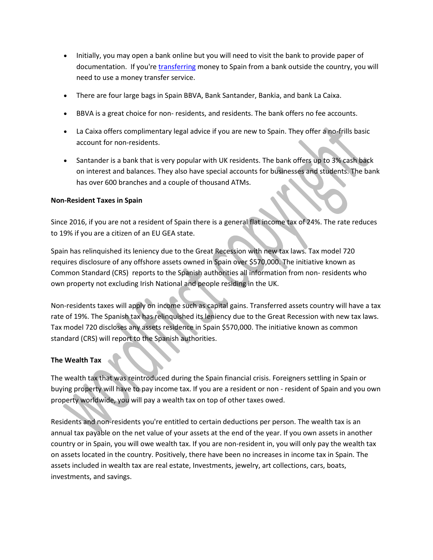- Initially, you may open a bank online but you will need to visit the bank to provide paper of documentation. If you're *[transferring](http://www.wordlfirst.com/)* money to Spain from a bank outside the country, you will need to use a money transfer service.
- There are four large bags in Spain BBVA, Bank Santander, Bankia, and bank La Caixa.
- BBVA is a great choice for non- residents, and residents. The bank offers no fee accounts.
- La Caixa offers complimentary legal advice if you are new to Spain. They offer a no-frills basic account for non-residents.
- Santander is a bank that is very popular with UK residents. The bank offers up to 3% cash back on interest and balances. They also have special accounts for businesses and students. The bank has over 600 branches and a couple of thousand ATMs.

#### **Non-Resident Taxes in Spain**

Since 2016, if you are not a resident of Spain there is a general flat income tax of 24%. The rate reduces to 19% if you are a citizen of an EU GEA state.

Spain has relinquished its leniency due to the Great Recession with new tax laws. Tax model 720 requires disclosure of any offshore assets owned in Spain over \$570,000. The initiative known as Common Standard (CRS) reports to the Spanish authorities all information from non- residents who own property not excluding Irish National and people residing in the UK.

Non-residents taxes will apply on income such as capital gains. Transferred assets country will have a tax rate of 19%. The Spanish tax has relinquished its leniency due to the Great Recession with new tax laws. Tax model 720 discloses any assets residence in Spain \$570,000. The initiative known as common standard (CRS) will report to the Spanish authorities.

# **The Wealth Tax**

The wealth tax that was reintroduced during the Spain financial crisis. Foreigners settling in Spain or buying property will have to pay income tax. If you are a resident or non - resident of Spain and you own property worldwide, you will pay a wealth tax on top of other taxes owed.

Residents and non-residents you're entitled to certain deductions per person. The wealth tax is an annual tax payable on the net value of your assets at the end of the year. If you own assets in another country or in Spain, you will owe wealth tax. If you are non-resident in, you will only pay the wealth tax on assets located in the country. Positively, there have been no increases in income tax in Spain. The assets included in wealth tax are real estate, Investments, jewelry, art collections, cars, boats, investments, and savings.